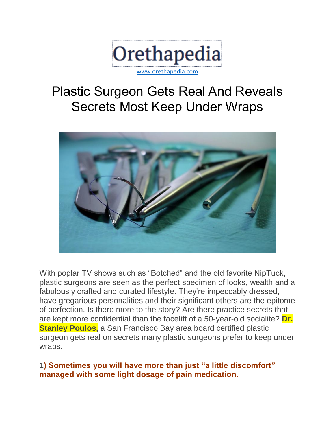

# Plastic Surgeon Gets Real And Reveals Secrets Most Keep Under Wraps



With poplar TV shows such as "Botched" and the old favorite NipTuck, plastic surgeons are seen as the perfect specimen of looks, wealth and a fabulously crafted and curated lifestyle. They're impeccably dressed, have gregarious personalities and their significant others are the epitome of perfection. Is there more to the story? Are there practice secrets that are kept more confidential than the facelift of a 50-year-old socialite? **Dr. Stanley Poulos,** a San Francisco Bay area board certified plastic surgeon gets real on secrets many plastic surgeons prefer to keep under wraps.

#### 1**) Sometimes you will have more than just "a little discomfort" managed with some light dosage of pain medication.**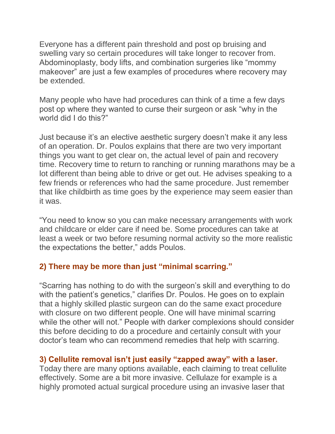Everyone has a different pain threshold and post op bruising and swelling vary so certain procedures will take longer to recover from. Abdominoplasty, body lifts, and combination surgeries like "mommy makeover" are just a few examples of procedures where recovery may be extended.

Many people who have had procedures can think of a time a few days post op where they wanted to curse their surgeon or ask "why in the world did I do this?"

Just because it's an elective aesthetic surgery doesn't make it any less of an operation. Dr. Poulos explains that there are two very important things you want to get clear on, the actual level of pain and recovery time. Recovery time to return to ranching or running marathons may be a lot different than being able to drive or get out. He advises speaking to a few friends or references who had the same procedure. Just remember that like childbirth as time goes by the experience may seem easier than it was.

"You need to know so you can make necessary arrangements with work and childcare or elder care if need be. Some procedures can take at least a week or two before resuming normal activity so the more realistic the expectations the better," adds Poulos.

## **2) There may be more than just "minimal scarring."**

"Scarring has nothing to do with the surgeon's skill and everything to do with the patient's genetics," clarifies Dr. Poulos. He goes on to explain that a highly skilled plastic surgeon can do the same exact procedure with closure on two different people. One will have minimal scarring while the other will not." People with darker complexions should consider this before deciding to do a procedure and certainly consult with your doctor's team who can recommend remedies that help with scarring.

## **3) Cellulite removal isn't just easily "zapped away" with a laser.**

Today there are many options available, each claiming to treat cellulite effectively. Some are a bit more invasive. Cellulaze for example is a highly promoted actual surgical procedure using an invasive laser that